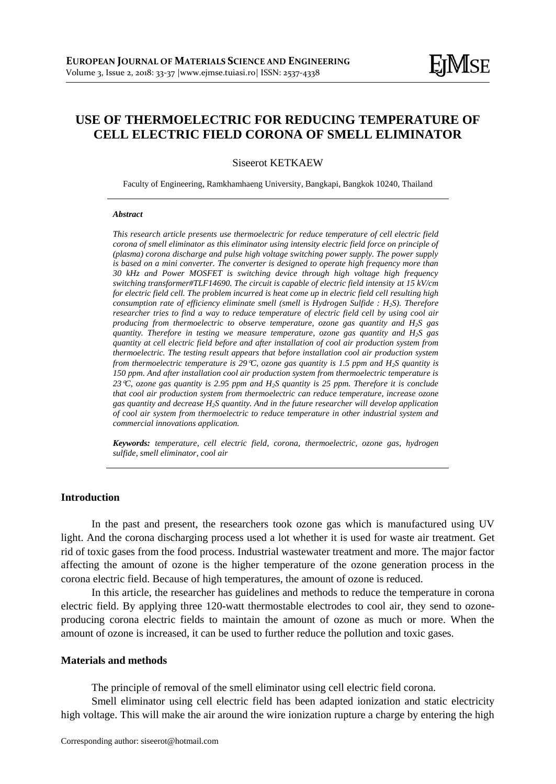# **USE OF THERMOELECTRIC FOR REDUCING TEMPERATURE OF CELL ELECTRIC FIELD CORONA OF SMELL ELIMINATOR**

Siseerot KETKAEW

Faculty of Engineering, Ramkhamhaeng University, Bangkapi, Bangkok 10240, Thailand

#### *Abstract*

*This research article presents use thermoelectric for reduce temperature of cell electric field corona of smell eliminator as this eliminator using intensity electric field force on principle of (plasma) corona discharge and pulse high voltage switching power supply. The power supply is based on a mini converter. The converter is designed to operate high frequency more than 30 kHz and Power MOSFET is switching device through high voltage high frequency switching transformer#TLF14690. The circuit is capable of electric field intensity at 15 kV/cm for electric field cell. The problem incurred is heat come up in electric field cell resulting high consumption rate of efficiency eliminate smell (smell is Hydrogen Sulfide : H2S). Therefore researcher tries to find a way to reduce temperature of electric field cell by using cool air producing from thermoelectric to observe temperature, ozone gas quantity and H2S gas quantity. Therefore in testing we measure temperature, ozone gas quantity and H2S gas quantity at cell electric field before and after installation of cool air production system from thermoelectric. The testing result appears that before installation cool air production system from thermoelectric temperature is 29C, ozone gas quantity is 1.5 ppm and H2S quantity is 150 ppm. And after installation cool air production system from thermoelectric temperature is 23C, ozone gas quantity is 2.95 ppm and H2S quantity is 25 ppm. Therefore it is conclude that cool air production system from thermoelectric can reduce temperature, increase ozone gas quantity and decrease H2S quantity. And in the future researcher will develop application of cool air system from thermoelectric to reduce temperature in other industrial system and commercial innovations application.*

*Keywords: temperature, cell electric field, corona, thermoelectric, ozone gas, hydrogen sulfide, smell eliminator, cool air*

# **Introduction**

In the past and present, the researchers took ozone gas which is manufactured using UV light. And the corona discharging process used a lot whether it is used for waste air treatment. Get rid of toxic gases from the food process. Industrial wastewater treatment and more. The major factor affecting the amount of ozone is the higher temperature of the ozone generation process in the corona electric field. Because of high temperatures, the amount of ozone is reduced.

In this article, the researcher has guidelines and methods to reduce the temperature in corona electric field. By applying three 120-watt thermostable electrodes to cool air, they send to ozoneproducing corona electric fields to maintain the amount of ozone as much or more. When the amount of ozone is increased, it can be used to further reduce the pollution and toxic gases.

## **Materials and methods**

The principle of removal of the smell eliminator using cell electric field corona.

Smell eliminator using cell electric field has been adapted ionization and static electricity high voltage. This will make the air around the wire ionization rupture a charge by entering the high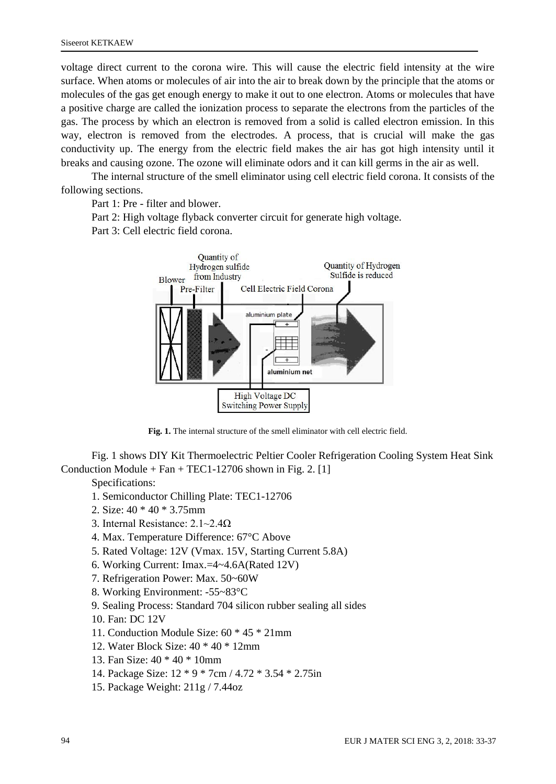voltage direct current to the corona wire. This will cause the electric field intensity at the wire surface. When atoms or molecules of air into the air to break down by the principle that the atoms or molecules of the gas get enough energy to make it out to one electron. Atoms or molecules that have a positive charge are called the ionization process to separate the electrons from the particles of the gas. The process by which an electron is removed from a solid is called electron emission. In this way, electron is removed from the electrodes. A process, that is crucial will make the gas conductivity up. The energy from the electric field makes the air has got high intensity until it breaks and causing ozone. The ozone will eliminate odors and it can kill germs in the air as well.

The internal structure of the smell eliminator using cell electric field corona. It consists of the following sections.

Part 1: Pre - filter and blower.

Part 2: High voltage flyback converter circuit for generate high voltage.

Part 3: Cell electric field corona.



**Fig. 1.** The internal structure of the smell eliminator with cell electric field.

Fig. 1 shows DIY Kit Thermoelectric Peltier Cooler Refrigeration Cooling System Heat Sink Conduction Module +  $Fan + TEC1-12706$  shown in Fig. 2. [1]

Specifications:

- 1. Semiconductor Chilling Plate: TEC1-12706
- 2. Size: 40 \* 40 \* 3.75mm
- 3. Internal Resistance: 2.1~2.4Ω
- 4. Max. Temperature Difference: 67°C Above
- 5. Rated Voltage: 12V (Vmax. 15V, Starting Current 5.8A)
- 6. Working Current: Imax.=4~4.6A(Rated 12V)
- 7. Refrigeration Power: Max. 50~60W
- 8. Working Environment: -55~83°C
- 9. Sealing Process: Standard 704 silicon rubber sealing all sides

10. Fan: DC 12V

- 11. Conduction Module Size: 60 \* 45 \* 21mm
- 12. Water Block Size: 40 \* 40 \* 12mm
- 13. Fan Size: 40 \* 40 \* 10mm
- 14. Package Size: 12 \* 9 \* 7cm / 4.72 \* 3.54 \* 2.75in
- 15. Package Weight: 211g / 7.44oz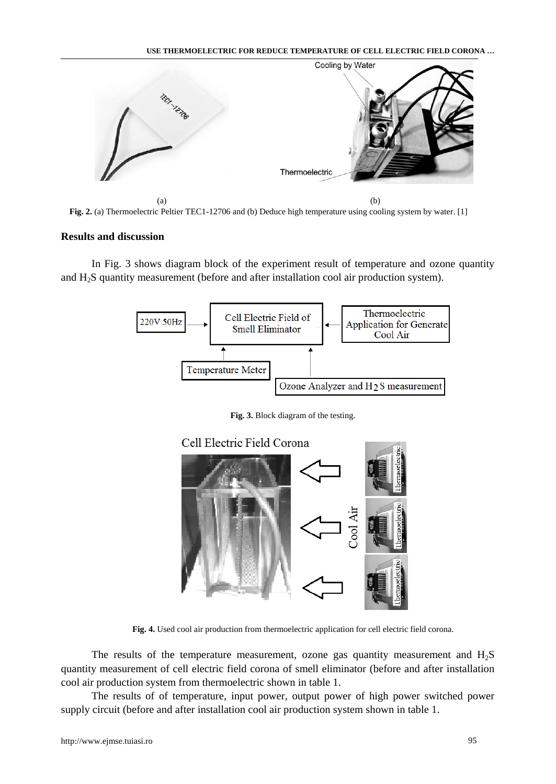

**Fig. 2.** (a) Thermoelectric Peltier TEC1-12706 and (b) Deduce high temperature using cooling system by water. [1]

## **Results and discussion**

In Fig. 3 shows diagram block of the experiment result of temperature and ozone quantity and H2S quantity measurement (before and after installation cool air production system).



**Fig. 3.** Block diagram of the testing.



**Fig. 4.** Used cool air production from thermoelectric application for cell electric field corona.

The results of the temperature measurement, ozone gas quantity measurement and H2S quantity measurement of cell electric field corona of smell eliminator (before and after installation cool air production system from thermoelectric shown in table 1.

The results of of temperature, input power, output power of high power switched power supply circuit (before and after installation cool air production system shown in table 1.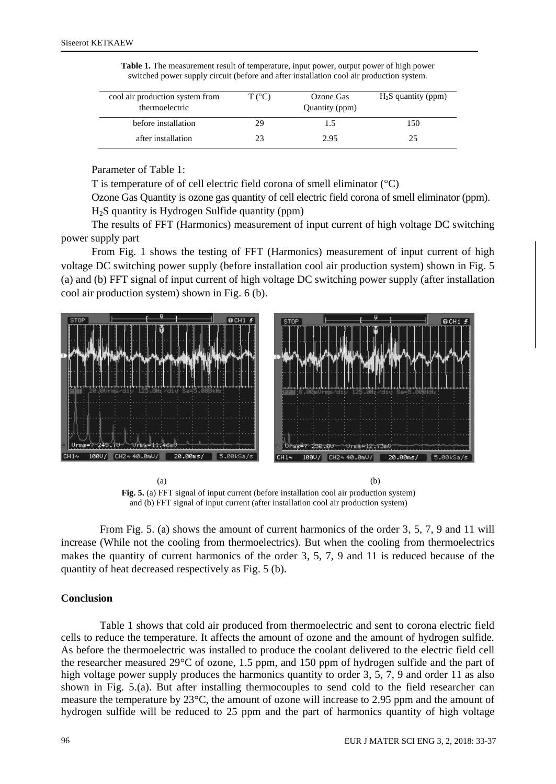| cool air production system from<br>thermoelectric | $T (^{\circ}C)$ | Ozone Gas<br>Quantity (ppm) | $H_2S$ quantity (ppm) |
|---------------------------------------------------|-----------------|-----------------------------|-----------------------|
| before installation                               | 29              | 1.5                         | 150                   |
| after installation                                |                 | 2.95                        | 25                    |

**Table 1.** The measurement result of temperature, input power, output power of high power switched power supply circuit (before and after installation cool air production system.

Parameter of Table 1:

T is temperature of of cell electric field corona of smell eliminator  $(^{\circ}C)$ 

Ozone Gas Quantity is ozone gas quantity of cell electric field corona of smell eliminator (ppm). H2S quantity is Hydrogen Sulfide quantity (ppm)

The results of FFT (Harmonics) measurement of input current of high voltage DC switching power supply part

From Fig. 1 shows the testing of FFT (Harmonics) measurement of input current of high voltage DC switching power supply (before installation cool air production system) shown in Fig. 5 (a) and (b) FFT signal of input current of high voltage DC switching power supply (after installation cool air production system) shown in Fig. 6 (b).



**Fig. 5.** (a) FFT signal of input current (before installation cool air production system) and (b) FFT signal of input current (after installation cool air production system)

From Fig. 5. (a) shows the amount of current harmonics of the order 3, 5, 7, 9 and 11 will increase (While not the cooling from thermoelectrics). But when the cooling from thermoelectrics makes the quantity of current harmonics of the order 3, 5, 7, 9 and 11 is reduced because of the quantity of heat decreased respectively as Fig. 5 (b).

### **Conclusion**

Table 1 shows that cold air produced from thermoelectric and sent to corona electric field cells to reduce the temperature. It affects the amount of ozone and the amount of hydrogen sulfide. As before the thermoelectric was installed to produce the coolant delivered to the electric field cell the researcher measured 29°C of ozone, 1.5 ppm, and 150 ppm of hydrogen sulfide and the part of high voltage power supply produces the harmonics quantity to order 3, 5, 7, 9 and order 11 as also shown in Fig. 5.(a). But after installing thermocouples to send cold to the field researcher can measure the temperature by 23°C, the amount of ozone will increase to 2.95 ppm and the amount of hydrogen sulfide will be reduced to 25 ppm and the part of harmonics quantity of high voltage